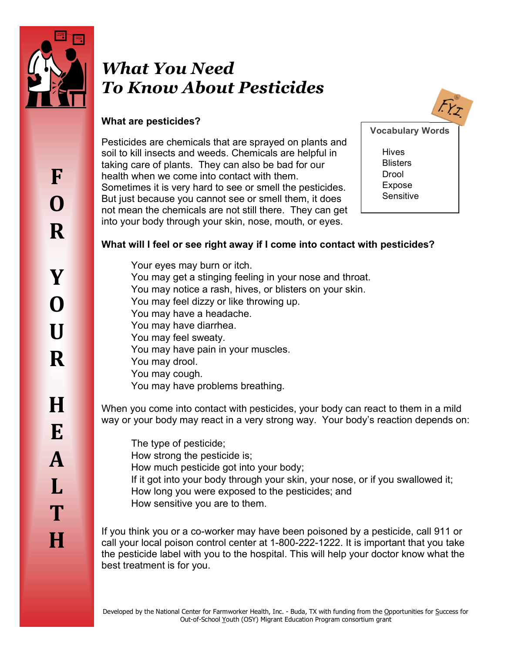

F

 $\Omega$ 

R

Y

# *What You Need To Know About Pesticides*

## **What are pesticides?**

Pesticides are chemicals that are sprayed on plants and soil to kill insects and weeds. Chemicals are helpful in taking care of plants. They can also be bad for our health when we come into contact with them. Sometimes it is very hard to see or smell the pesticides. But just because you cannot see or smell them, it does not mean the chemicals are not still there. They can get into your body through your skin, nose, mouth, or eyes.



## **What will I feel or see right away if I come into contact with pesticides?**

 Your eyes may burn or itch. You may get a stinging feeling in your nose and throat. You may notice a rash, hives, or blisters on your skin. You may feel dizzy or like throwing up. You may have a headache. You may have diarrhea. You may feel sweaty. You may have pain in your muscles. You may drool. You may cough. You may have problems breathing.

When you come into contact with pesticides, your body can react to them in a mild way or your body may react in a very strong way. Your body's reaction depends on:

 The type of pesticide; How strong the pesticide is; How much pesticide got into your body; If it got into your body through your skin, your nose, or if you swallowed it; How long you were exposed to the pesticides; and How sensitive you are to them.

If you think you or a co-worker may have been poisoned by a pesticide, call 911 or call your local poison control center at 1-800-222-1222. It is important that you take the pesticide label with you to the hospital. This will help your doctor know what the best treatment is for you.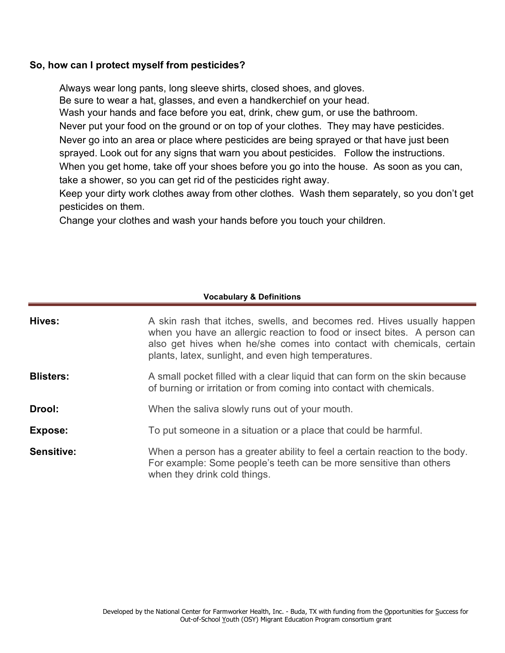### **So, how can I protect myself from pesticides?**

Always wear long pants, long sleeve shirts, closed shoes, and gloves.

Be sure to wear a hat, glasses, and even a handkerchief on your head.

Wash your hands and face before you eat, drink, chew gum, or use the bathroom.

Never put your food on the ground or on top of your clothes. They may have pesticides.

Never go into an area or place where pesticides are being sprayed or that have just been

sprayed. Look out for any signs that warn you about pesticides. Follow the instructions.

When you get home, take off your shoes before you go into the house. As soon as you can,

take a shower, so you can get rid of the pesticides right away.

 Keep your dirty work clothes away from other clothes. Wash them separately, so you don't get pesticides on them.

Change your clothes and wash your hands before you touch your children.

#### **Vocabulary & Definitions**

| Hives:            | A skin rash that itches, swells, and becomes red. Hives usually happen<br>when you have an allergic reaction to food or insect bites. A person can<br>also get hives when he/she comes into contact with chemicals, certain<br>plants, latex, sunlight, and even high temperatures. |
|-------------------|-------------------------------------------------------------------------------------------------------------------------------------------------------------------------------------------------------------------------------------------------------------------------------------|
| <b>Blisters:</b>  | A small pocket filled with a clear liquid that can form on the skin because<br>of burning or irritation or from coming into contact with chemicals.                                                                                                                                 |
| Drool:            | When the saliva slowly runs out of your mouth.                                                                                                                                                                                                                                      |
| Expose:           | To put someone in a situation or a place that could be harmful.                                                                                                                                                                                                                     |
| <b>Sensitive:</b> | When a person has a greater ability to feel a certain reaction to the body.<br>For example: Some people's teeth can be more sensitive than others<br>when they drink cold things.                                                                                                   |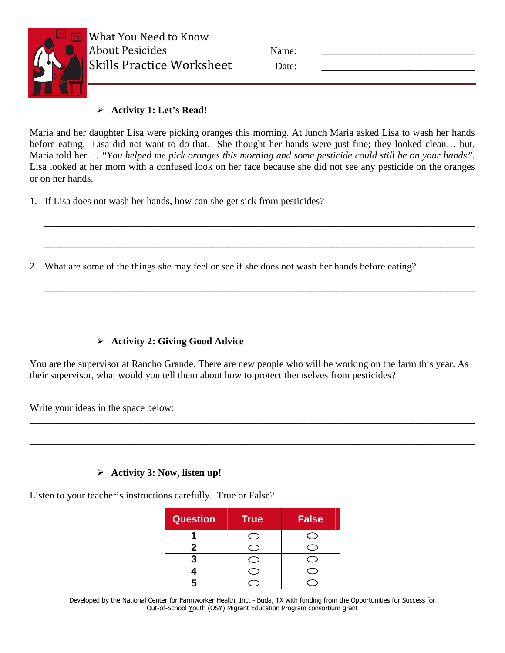

## **Activity 1: Let's Read!**

Maria and her daughter Lisa were picking oranges this morning. At lunch Maria asked Lisa to wash her hands before eating. Lisa did not want to do that. She thought her hands were just fine; they looked clean… but, Maria told her *… "You helped me pick oranges this morning and some pesticide could still be on your hands".*  Lisa looked at her mom with a confused look on her face because she did not see any pesticide on the oranges or on her hands.

\_\_\_\_\_\_\_\_\_\_\_\_\_\_\_\_\_\_\_\_\_\_\_\_\_\_\_\_\_\_\_\_\_\_\_\_\_\_\_\_\_\_\_\_\_\_\_\_\_\_\_\_\_\_\_\_\_\_\_\_\_\_\_\_\_\_\_\_\_\_\_\_\_\_\_\_\_\_\_\_\_\_\_\_\_\_\_

\_\_\_\_\_\_\_\_\_\_\_\_\_\_\_\_\_\_\_\_\_\_\_\_\_\_\_\_\_\_\_\_\_\_\_\_\_\_\_\_\_\_\_\_\_\_\_\_\_\_\_\_\_\_\_\_\_\_\_\_\_\_\_\_\_\_\_\_\_\_\_\_\_\_\_\_\_\_\_\_\_\_\_\_\_\_\_

\_\_\_\_\_\_\_\_\_\_\_\_\_\_\_\_\_\_\_\_\_\_\_\_\_\_\_\_\_\_\_\_\_\_\_\_\_\_\_\_\_\_\_\_\_\_\_\_\_\_\_\_\_\_\_\_\_\_\_\_\_\_\_\_\_\_\_\_\_\_\_\_\_\_\_\_\_\_\_\_\_\_\_\_\_\_\_

\_\_\_\_\_\_\_\_\_\_\_\_\_\_\_\_\_\_\_\_\_\_\_\_\_\_\_\_\_\_\_\_\_\_\_\_\_\_\_\_\_\_\_\_\_\_\_\_\_\_\_\_\_\_\_\_\_\_\_\_\_\_\_\_\_\_\_\_\_\_\_\_\_\_\_\_\_\_\_\_\_\_\_\_\_\_\_

- 1. If Lisa does not wash her hands, how can she get sick from pesticides?
- 2. What are some of the things she may feel or see if she does not wash her hands before eating?

# **Activity 2: Giving Good Advice**

You are the supervisor at Rancho Grande. There are new people who will be working on the farm this year. As their supervisor, what would you tell them about how to protect themselves from pesticides?

\_\_\_\_\_\_\_\_\_\_\_\_\_\_\_\_\_\_\_\_\_\_\_\_\_\_\_\_\_\_\_\_\_\_\_\_\_\_\_\_\_\_\_\_\_\_\_\_\_\_\_\_\_\_\_\_\_\_\_\_\_\_\_\_\_\_\_\_\_\_\_\_\_\_\_\_\_\_\_\_\_\_\_\_\_\_\_\_\_\_

\_\_\_\_\_\_\_\_\_\_\_\_\_\_\_\_\_\_\_\_\_\_\_\_\_\_\_\_\_\_\_\_\_\_\_\_\_\_\_\_\_\_\_\_\_\_\_\_\_\_\_\_\_\_\_\_\_\_\_\_\_\_\_\_\_\_\_\_\_\_\_\_\_\_\_\_\_\_\_\_\_\_\_\_\_\_\_\_\_\_

Write your ideas in the space below:

## **Activity 3: Now, listen up!**

Listen to your teacher's instructions carefully. True or False?

| <b>Question</b> | <b>True</b> | <b>False</b> |
|-----------------|-------------|--------------|
|                 |             |              |
|                 |             |              |
|                 |             |              |
|                 |             |              |
|                 |             |              |

Developed by the National Center for Farmworker Health, Inc. - Buda, TX with funding from the Opportunities for Success for Out-of-School Youth (OSY) Migrant Education Program consortium grant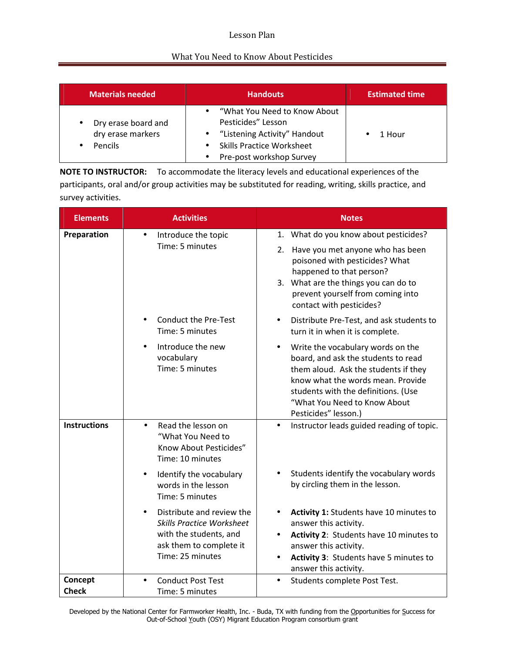#### Lesson Plan

#### What You Need to Know About Pesticides

| <b>Materials needed</b>                                          | <b>Handouts</b>                                                                                                                                                 | <b>Estimated time</b> |
|------------------------------------------------------------------|-----------------------------------------------------------------------------------------------------------------------------------------------------------------|-----------------------|
| Dry erase board and<br>$\bullet$<br>dry erase markers<br>Pencils | "What You Need to Know About<br>$\bullet$<br>Pesticides" Lesson<br>"Listening Activity" Handout<br><b>Skills Practice Worksheet</b><br>Pre-post workshop Survey | 1 Hour                |

 **NOTE TO INSTRUCTOR:** To accommodate the literacy levels and educational experiences of the participants, oral and/or group activities may be substituted for reading, writing, skills practice, and survey activities.

| <b>Elements</b>         | <b>Activities</b>                                                                                                                                   | <b>Notes</b>                                                                                                                                                                                                                                         |
|-------------------------|-----------------------------------------------------------------------------------------------------------------------------------------------------|------------------------------------------------------------------------------------------------------------------------------------------------------------------------------------------------------------------------------------------------------|
| Preparation             | Introduce the topic<br>$\bullet$<br>Time: 5 minutes                                                                                                 | 1. What do you know about pesticides?<br>Have you met anyone who has been<br>2.<br>poisoned with pesticides? What<br>happened to that person?<br>3. What are the things you can do to<br>prevent yourself from coming into                           |
|                         | <b>Conduct the Pre-Test</b><br>Time: 5 minutes                                                                                                      | contact with pesticides?<br>Distribute Pre-Test, and ask students to<br>turn it in when it is complete.                                                                                                                                              |
|                         | Introduce the new<br>$\bullet$<br>vocabulary<br>Time: 5 minutes                                                                                     | Write the vocabulary words on the<br>board, and ask the students to read<br>them aloud. Ask the students if they<br>know what the words mean. Provide<br>students with the definitions. (Use<br>"What You Need to Know About<br>Pesticides" lesson.) |
| <b>Instructions</b>     | Read the lesson on<br>$\bullet$<br>"What You Need to<br>Know About Pesticides"<br>Time: 10 minutes                                                  | Instructor leads guided reading of topic.<br>$\bullet$                                                                                                                                                                                               |
|                         | Identify the vocabulary<br>$\bullet$<br>words in the lesson<br>Time: 5 minutes                                                                      | Students identify the vocabulary words<br>by circling them in the lesson.                                                                                                                                                                            |
|                         | Distribute and review the<br>$\bullet$<br><b>Skills Practice Worksheet</b><br>with the students, and<br>ask them to complete it<br>Time: 25 minutes | Activity 1: Students have 10 minutes to<br>answer this activity.<br>Activity 2: Students have 10 minutes to<br>answer this activity.<br>Activity 3: Students have 5 minutes to<br>answer this activity.                                              |
| Concept<br><b>Check</b> | <b>Conduct Post Test</b><br>$\bullet$<br>Time: 5 minutes                                                                                            | Students complete Post Test.<br>$\bullet$                                                                                                                                                                                                            |

Developed by the National Center for Farmworker Health, Inc. - Buda, TX with funding from the Opportunities for Success for Out-of-School Youth (OSY) Migrant Education Program consortium grant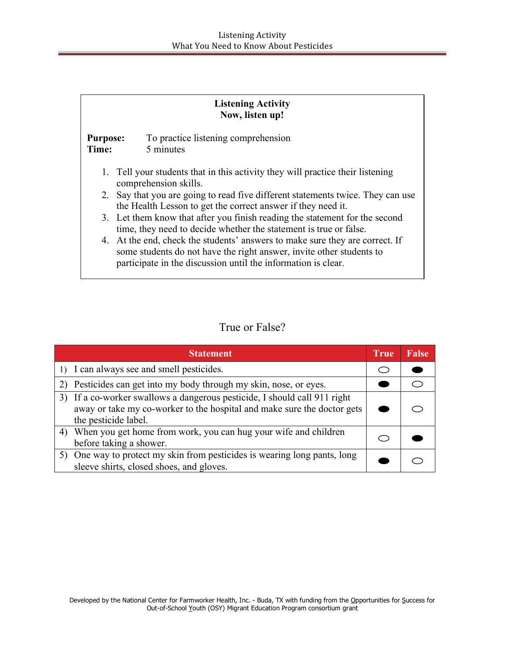| <b>Listening Activity</b><br>Now, listen up! |                                                                                                                                                                                                                       |  |  |
|----------------------------------------------|-----------------------------------------------------------------------------------------------------------------------------------------------------------------------------------------------------------------------|--|--|
| <b>Purpose:</b><br>Time:                     | To practice listening comprehension<br>5 minutes                                                                                                                                                                      |  |  |
|                                              | 1. Tell your students that in this activity they will practice their listening<br>comprehension skills.                                                                                                               |  |  |
|                                              | 2. Say that you are going to read five different statements twice. They can use<br>the Health Lesson to get the correct answer if they need it.                                                                       |  |  |
|                                              | 3. Let them know that after you finish reading the statement for the second<br>time, they need to decide whether the statement is true or false.                                                                      |  |  |
|                                              | 4. At the end, check the students' answers to make sure they are correct. If<br>some students do not have the right answer, invite other students to<br>participate in the discussion until the information is clear. |  |  |

# True or False?

| <b>Statement</b>                                                                                                                                                             | <b>True</b> | False |
|------------------------------------------------------------------------------------------------------------------------------------------------------------------------------|-------------|-------|
| 1) I can always see and smell pesticides.                                                                                                                                    |             |       |
| Pesticides can get into my body through my skin, nose, or eyes.                                                                                                              |             |       |
| 3) If a co-worker swallows a dangerous pesticide, I should call 911 right<br>away or take my co-worker to the hospital and make sure the doctor gets<br>the pesticide label. |             |       |
| When you get home from work, you can hug your wife and children<br>4)<br>before taking a shower.                                                                             |             |       |
| One way to protect my skin from pesticides is wearing long pants, long<br>sleeve shirts, closed shoes, and gloves.                                                           |             |       |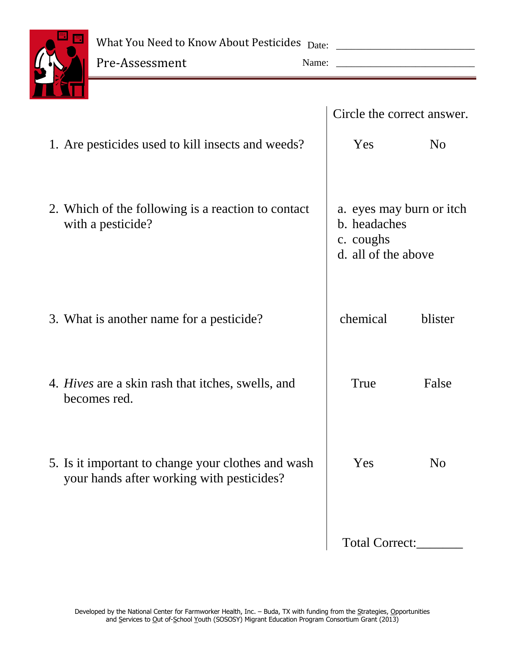

What You Need to Know About Pesticides Date: \_\_\_\_\_\_\_\_\_\_\_\_\_\_\_\_\_\_\_\_\_\_\_\_\_\_\_\_

|                                                                         | Pre-Assessment<br>Name:                                                                         |                            |                                                 |  |
|-------------------------------------------------------------------------|-------------------------------------------------------------------------------------------------|----------------------------|-------------------------------------------------|--|
|                                                                         |                                                                                                 |                            |                                                 |  |
|                                                                         |                                                                                                 | Circle the correct answer. |                                                 |  |
|                                                                         | 1. Are pesticides used to kill insects and weeds?                                               | Yes                        | N <sub>o</sub>                                  |  |
| 2. Which of the following is a reaction to contact<br>with a pesticide? |                                                                                                 | b. headaches<br>c. coughs  | a. eyes may burn or itch<br>d. all of the above |  |
|                                                                         | 3. What is another name for a pesticide?                                                        | chemical                   | blister                                         |  |
|                                                                         | 4. Hives are a skin rash that itches, swells, and<br>becomes red.                               | True                       | False                                           |  |
|                                                                         | 5. Is it important to change your clothes and wash<br>your hands after working with pesticides? | Yes                        | N <sub>o</sub>                                  |  |
|                                                                         |                                                                                                 | Total Correct:             |                                                 |  |